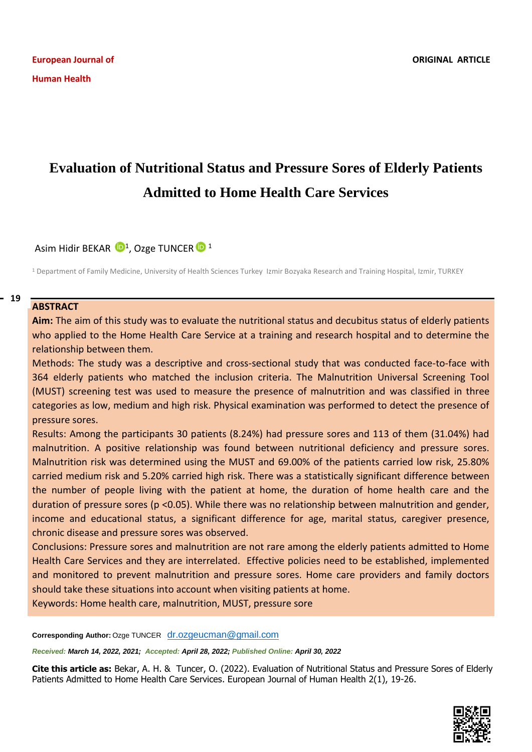# **Evaluation of Nutritional Status and Pressure Sores of Elderly Patients Admitted to Home Health Care Services**

Asim Hidir BEKAR  $\mathbf{P}^1$ , Ozge TUNCER  $\mathbf{P}^1$ 

<sup>1</sup> Department of Family Medicine, University of Health Sciences Turkey Izmir Bozyaka Research and Training Hospital, Izmir, TURKEY

#### **ABSTRACT**  $-19$

**Aim:** The aim of this study was to evaluate the nutritional status and decubitus status of elderly patients who applied to the Home Health Care Service at a training and research hospital and to determine the relationship between them.

Methods: The study was a descriptive and cross-sectional study that was conducted face-to-face with 364 elderly patients who matched the inclusion criteria. The Malnutrition Universal Screening Tool (MUST) screening test was used to measure the presence of malnutrition and was classified in three categories as low, medium and high risk. Physical examination was performed to detect the presence of pressure sores.

Results: Among the participants 30 patients (8.24%) had pressure sores and 113 of them (31.04%) had malnutrition. A positive relationship was found between nutritional deficiency and pressure sores. Malnutrition risk was determined using the MUST and 69.00% of the patients carried low risk, 25.80% carried medium risk and 5.20% carried high risk. There was a statistically significant difference between the number of people living with the patient at home, the duration of home health care and the duration of pressure sores (p <0.05). While there was no relationship between malnutrition and gender, income and educational status, a significant difference for age, marital status, caregiver presence, chronic disease and pressure sores was observed.

Conclusions: Pressure sores and malnutrition are not rare among the elderly patients admitted to Home Health Care Services and they are interrelated. Effective policies need to be established, implemented and monitored to prevent malnutrition and pressure sores. Home care providers and family doctors should take these situations into account when visiting patients at home.

Keywords: Home health care, malnutrition, MUST, pressure sore

**Corresponding Author:** Ozge TUNCER <dr.ozgeucman@gmail.com>

*Received: March 14, 2022, 2021; Accepted: April 28, 2022; Published Online: April 30, 2022*

**Cite this article as:** Bekar, A. H. & Tuncer, O. (2022). Evaluation of Nutritional Status and Pressure Sores of Elderly Patients Admitted to Home Health Care Services. European Journal of Human Health 2(1), 19-26.

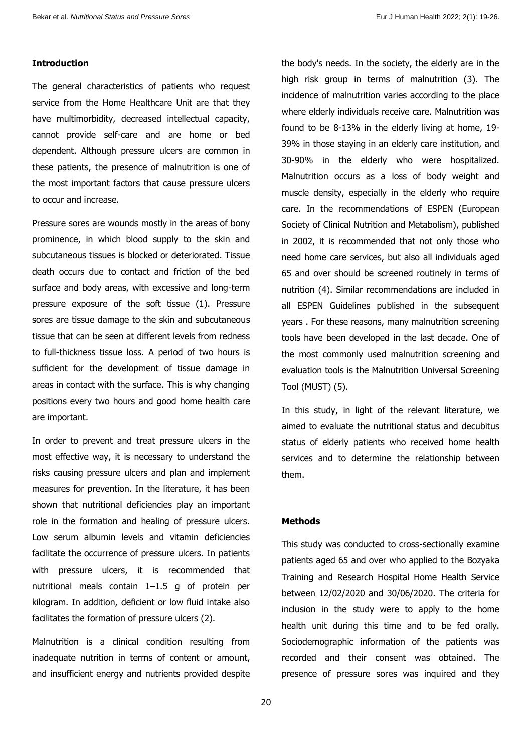## **Introduction**

The general characteristics of patients who request service from the Home Healthcare Unit are that they have multimorbidity, decreased intellectual capacity, cannot provide self-care and are home or bed dependent. Although pressure ulcers are common in these patients, the presence of malnutrition is one of the most important factors that cause pressure ulcers to occur and increase.

Pressure sores are wounds mostly in the areas of bony prominence, in which blood supply to the skin and subcutaneous tissues is blocked or deteriorated. Tissue death occurs due to contact and friction of the bed surface and body areas, with excessive and long-term pressure exposure of the soft tissue (1). Pressure sores are tissue damage to the skin and subcutaneous tissue that can be seen at different levels from redness to full-thickness tissue loss. A period of two hours is sufficient for the development of tissue damage in areas in contact with the surface. This is why changing positions every two hours and good home health care are important.

In order to prevent and treat pressure ulcers in the most effective way, it is necessary to understand the risks causing pressure ulcers and plan and implement measures for prevention. In the literature, it has been shown that nutritional deficiencies play an important role in the formation and healing of pressure ulcers. Low serum albumin levels and vitamin deficiencies facilitate the occurrence of pressure ulcers. In patients with pressure ulcers, it is recommended that nutritional meals contain 1–1.5 g of protein per kilogram. In addition, deficient or low fluid intake also facilitates the formation of pressure ulcers (2).

Malnutrition is a clinical condition resulting from inadequate nutrition in terms of content or amount, and insufficient energy and nutrients provided despite

the body's needs. In the society, the elderly are in the high risk group in terms of malnutrition (3). The incidence of malnutrition varies according to the place where elderly individuals receive care. Malnutrition was found to be 8-13% in the elderly living at home, 19- 39% in those staying in an elderly care institution, and 30-90% in the elderly who were hospitalized. Malnutrition occurs as a loss of body weight and muscle density, especially in the elderly who require care. In the recommendations of ESPEN (European Society of Clinical Nutrition and Metabolism), published in 2002, it is recommended that not only those who need home care services, but also all individuals aged 65 and over should be screened routinely in terms of nutrition (4). Similar recommendations are included in all ESPEN Guidelines published in the subsequent years . For these reasons, many malnutrition screening tools have been developed in the last decade. One of the most commonly used malnutrition screening and evaluation tools is the Malnutrition Universal Screening Tool (MUST) (5).

In this study, in light of the relevant literature, we aimed to evaluate the nutritional status and decubitus status of elderly patients who received home health services and to determine the relationship between them.

#### **Methods**

This study was conducted to cross-sectionally examine patients aged 65 and over who applied to the Bozyaka Training and Research Hospital Home Health Service between 12/02/2020 and 30/06/2020. The criteria for inclusion in the study were to apply to the home health unit during this time and to be fed orally. Sociodemographic information of the patients was recorded and their consent was obtained. The presence of pressure sores was inquired and they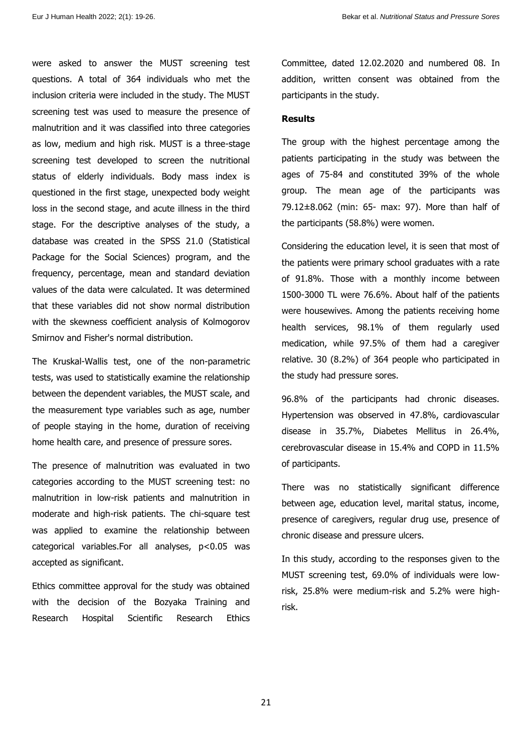were asked to answer the MUST screening test questions. A total of 364 individuals who met the inclusion criteria were included in the study. The MUST screening test was used to measure the presence of malnutrition and it was classified into three categories as low, medium and high risk. MUST is a three-stage screening test developed to screen the nutritional status of elderly individuals. Body mass index is questioned in the first stage, unexpected body weight loss in the second stage, and acute illness in the third stage. For the descriptive analyses of the study, a database was created in the SPSS 21.0 (Statistical Package for the Social Sciences) program, and the frequency, percentage, mean and standard deviation values of the data were calculated. It was determined that these variables did not show normal distribution with the skewness coefficient analysis of Kolmogorov Smirnov and Fisher's normal distribution.

The Kruskal-Wallis test, one of the non-parametric tests, was used to statistically examine the relationship between the dependent variables, the MUST scale, and the measurement type variables such as age, number of people staying in the home, duration of receiving home health care, and presence of pressure sores.

The presence of malnutrition was evaluated in two categories according to the MUST screening test: no malnutrition in low-risk patients and malnutrition in moderate and high-risk patients. The chi-square test was applied to examine the relationship between categorical variables.For all analyses, p<0.05 was accepted as significant.

Ethics committee approval for the study was obtained with the decision of the Bozyaka Training and Research Hospital Scientific Research Ethics Committee, dated 12.02.2020 and numbered 08. In addition, written consent was obtained from the participants in the study.

## **Results**

The group with the highest percentage among the patients participating in the study was between the ages of 75-84 and constituted 39% of the whole group. The mean age of the participants was 79.12±8.062 (min: 65- max: 97). More than half of the participants (58.8%) were women.

Considering the education level, it is seen that most of the patients were primary school graduates with a rate of 91.8%. Those with a monthly income between 1500-3000 TL were 76.6%. About half of the patients were housewives. Among the patients receiving home health services, 98.1% of them regularly used medication, while 97.5% of them had a caregiver relative. 30 (8.2%) of 364 people who participated in the study had pressure sores.

96.8% of the participants had chronic diseases. Hypertension was observed in 47.8%, cardiovascular disease in 35.7%, Diabetes Mellitus in 26.4%, cerebrovascular disease in 15.4% and COPD in 11.5% of participants.

There was no statistically significant difference between age, education level, marital status, income, presence of caregivers, regular drug use, presence of chronic disease and pressure ulcers.

In this study, according to the responses given to the MUST screening test, 69.0% of individuals were lowrisk, 25.8% were medium-risk and 5.2% were highrisk.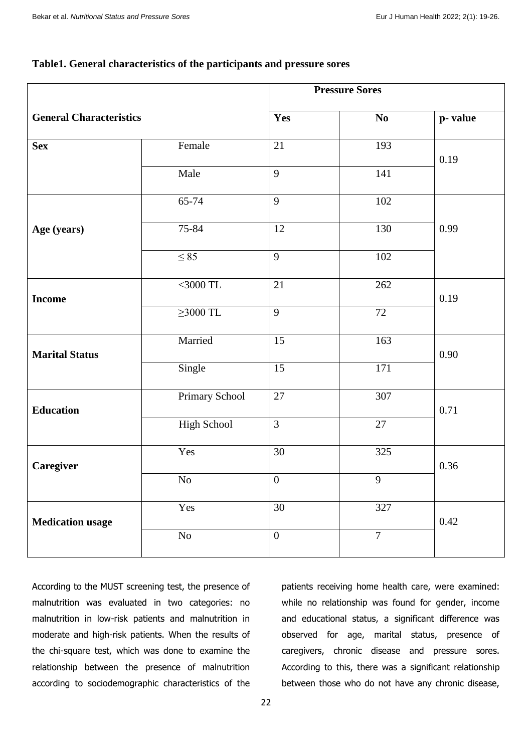## **Table1. General characteristics of the participants and pressure sores**

|                                |                    | <b>Pressure Sores</b> |                |         |
|--------------------------------|--------------------|-----------------------|----------------|---------|
| <b>General Characteristics</b> |                    | Yes                   | N <sub>0</sub> | p-value |
| <b>Sex</b>                     | Female             | 21                    | 193            | 0.19    |
|                                | Male               | 9                     | 141            |         |
| Age (years)                    | 65-74              | 9                     | 102            | 0.99    |
|                                | 75-84              | 12                    | 130            |         |
|                                | $\leq 85$          | 9                     | 102            |         |
| <b>Income</b>                  | $<$ 3000 TL        | 21                    | 262            | 0.19    |
|                                | $\geq 3000$ TL     | 9                     | 72             |         |
| <b>Marital Status</b>          | Married            | 15                    | 163            | 0.90    |
|                                | Single             | $\overline{15}$       | 171            |         |
| <b>Education</b>               | Primary School     | 27                    | 307            | 0.71    |
|                                | <b>High School</b> | $\overline{3}$        | 27             |         |
| Caregiver                      | Yes                | 30                    | 325            | 0.36    |
|                                | $\rm No$           | $\boldsymbol{0}$      | 9              |         |
| <b>Medication usage</b>        | Yes                | 30                    | 327            | 0.42    |
|                                | $\rm No$           | $\boldsymbol{0}$      | $\overline{7}$ |         |

According to the MUST screening test, the presence of malnutrition was evaluated in two categories: no malnutrition in low-risk patients and malnutrition in moderate and high-risk patients. When the results of the chi-square test, which was done to examine the relationship between the presence of malnutrition according to sociodemographic characteristics of the

patients receiving home health care, were examined: while no relationship was found for gender, income and educational status, a significant difference was observed for age, marital status, presence of caregivers, chronic disease and pressure sores. According to this, there was a significant relationship between those who do not have any chronic disease,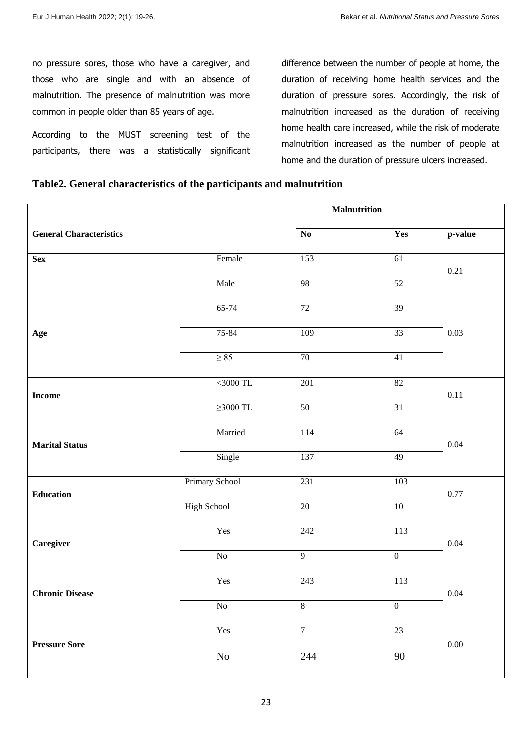no pressure sores, those who have a caregiver, and those who are single and with an absence of malnutrition. The presence of malnutrition was more common in people older than 85 years of age.

According to the MUST screening test of the participants, there was a statistically significant difference between the number of people at home, the duration of receiving home health services and the duration of pressure sores. Accordingly, the risk of malnutrition increased as the duration of receiving home health care increased, while the risk of moderate malnutrition increased as the number of people at home and the duration of pressure ulcers increased.

## **Table2. General characteristics of the participants and malnutrition**

|                                |                    | <b>Malnutrition</b> |                  |          |  |
|--------------------------------|--------------------|---------------------|------------------|----------|--|
| <b>General Characteristics</b> |                    | N <sub>0</sub>      | Yes              | p-value  |  |
| <b>Sex</b>                     | Female             | 153                 | 61               | 0.21     |  |
|                                | Male               | 98                  | 52               |          |  |
|                                | $65 - 74$          | $\overline{72}$     | 39               |          |  |
| Age                            | 75-84              | 109                 | $\overline{33}$  | 0.03     |  |
|                                | $\geq 85$          | 70                  | $\overline{41}$  |          |  |
| <b>Income</b>                  | $<$ 3000 TL        | 201                 | $\overline{82}$  | 0.11     |  |
|                                | $\geq$ 3000 TL     | 50                  | 31               |          |  |
| <b>Marital Status</b>          | Married            | 114                 | 64               | 0.04     |  |
|                                | Single             | 137                 | 49               |          |  |
| <b>Education</b>               | Primary School     | 231                 | 103              | 0.77     |  |
|                                | <b>High School</b> | $\overline{20}$     | $\overline{10}$  |          |  |
| Caregiver                      | Yes                | 242                 | 113              | $0.04\,$ |  |
|                                | $\overline{No}$    | $\overline{9}$      | $\overline{0}$   |          |  |
| <b>Chronic Disease</b>         | Yes                | 243                 | 113              | 0.04     |  |
|                                | No                 | $\sqrt{8}$          | $\boldsymbol{0}$ |          |  |
| <b>Pressure Sore</b>           | Yes                | $\overline{7}$      | 23               | $0.00\,$ |  |
|                                | No                 | 244                 | 90               |          |  |
|                                |                    |                     |                  |          |  |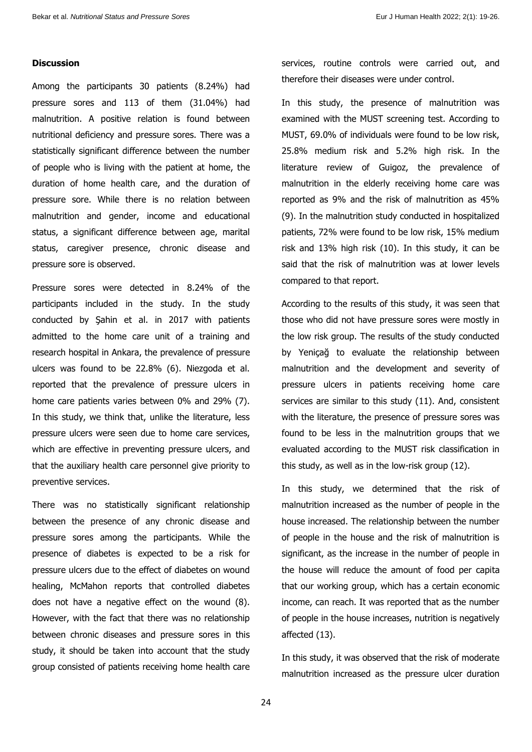## **Discussion**

Among the participants 30 patients (8.24%) had pressure sores and 113 of them (31.04%) had malnutrition. A positive relation is found between nutritional deficiency and pressure sores. There was a statistically significant difference between the number of people who is living with the patient at home, the duration of home health care, and the duration of pressure sore. While there is no relation between malnutrition and gender, income and educational status, a significant difference between age, marital status, caregiver presence, chronic disease and pressure sore is observed.

Pressure sores were detected in 8.24% of the participants included in the study. In the study conducted by Şahin et al. in 2017 with patients admitted to the home care unit of a training and research hospital in Ankara, the prevalence of pressure ulcers was found to be 22.8% (6). Niezgoda et al. reported that the prevalence of pressure ulcers in home care patients varies between 0% and 29% (7). In this study, we think that, unlike the literature, less pressure ulcers were seen due to home care services, which are effective in preventing pressure ulcers, and that the auxiliary health care personnel give priority to preventive services.

There was no statistically significant relationship between the presence of any chronic disease and pressure sores among the participants. While the presence of diabetes is expected to be a risk for pressure ulcers due to the effect of diabetes on wound healing, McMahon reports that controlled diabetes does not have a negative effect on the wound (8). However, with the fact that there was no relationship between chronic diseases and pressure sores in this study, it should be taken into account that the study group consisted of patients receiving home health care services, routine controls were carried out, and therefore their diseases were under control.

In this study, the presence of malnutrition was examined with the MUST screening test. According to MUST, 69.0% of individuals were found to be low risk, 25.8% medium risk and 5.2% high risk. In the literature review of Guigoz, the prevalence of malnutrition in the elderly receiving home care was reported as 9% and the risk of malnutrition as 45% (9). In the malnutrition study conducted in hospitalized patients, 72% were found to be low risk, 15% medium risk and 13% high risk (10). In this study, it can be said that the risk of malnutrition was at lower levels compared to that report.

According to the results of this study, it was seen that those who did not have pressure sores were mostly in the low risk group. The results of the study conducted by Yeniçağ to evaluate the relationship between malnutrition and the development and severity of pressure ulcers in patients receiving home care services are similar to this study (11). And, consistent with the literature, the presence of pressure sores was found to be less in the malnutrition groups that we evaluated according to the MUST risk classification in this study, as well as in the low-risk group (12).

In this study, we determined that the risk of malnutrition increased as the number of people in the house increased. The relationship between the number of people in the house and the risk of malnutrition is significant, as the increase in the number of people in the house will reduce the amount of food per capita that our working group, which has a certain economic income, can reach. It was reported that as the number of people in the house increases, nutrition is negatively affected (13).

In this study, it was observed that the risk of moderate malnutrition increased as the pressure ulcer duration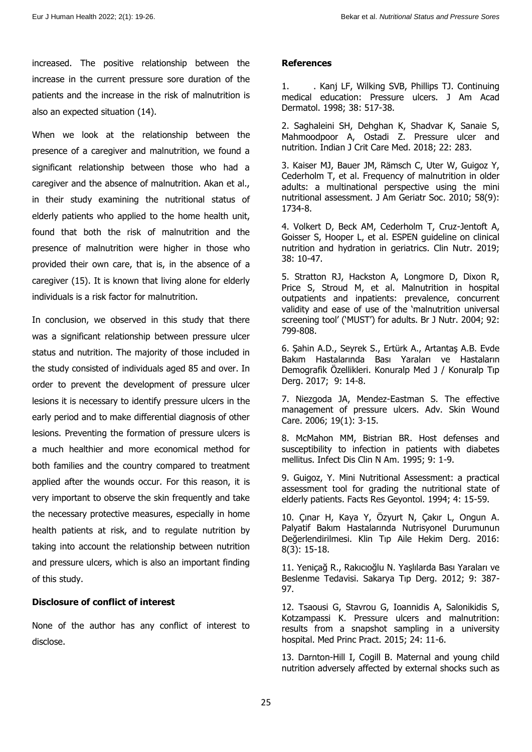increased. The positive relationship between the increase in the current pressure sore duration of the patients and the increase in the risk of malnutrition is also an expected situation (14).

When we look at the relationship between the presence of a caregiver and malnutrition, we found a significant relationship between those who had a caregiver and the absence of malnutrition. Akan et al., in their study examining the nutritional status of elderly patients who applied to the home health unit, found that both the risk of malnutrition and the presence of malnutrition were higher in those who provided their own care, that is, in the absence of a caregiver (15). It is known that living alone for elderly individuals is a risk factor for malnutrition.

In conclusion, we observed in this study that there was a significant relationship between pressure ulcer status and nutrition. The majority of those included in the study consisted of individuals aged 85 and over. In order to prevent the development of pressure ulcer lesions it is necessary to identify pressure ulcers in the early period and to make differential diagnosis of other lesions. Preventing the formation of pressure ulcers is a much healthier and more economical method for both families and the country compared to treatment applied after the wounds occur. For this reason, it is very important to observe the skin frequently and take the necessary protective measures, especially in home health patients at risk, and to regulate nutrition by taking into account the relationship between nutrition and pressure ulcers, which is also an important finding of this study.

## **Disclosure of conflict of interest**

None of the author has any conflict of interest to disclose.

## **References**

1. . Kanj LF, Wilking SVB, Phillips TJ. Continuing medical education: Pressure ulcers. J Am Acad Dermatol. 1998; 38: 517-38.

2. Saghaleini SH, Dehghan K, Shadvar K, Sanaie S, Mahmoodpoor A, Ostadi Z. Pressure ulcer and nutrition. Indian J Crit Care Med. 2018; 22: 283.

3. Kaiser MJ, Bauer JM, Rämsch C, Uter W, Guigoz Y, Cederholm T, et al. Frequency of malnutrition in older adults: a multinational perspective using the mini nutritional assessment. J Am Geriatr Soc. 2010; 58(9): 1734-8.

4. Volkert D, Beck AM, Cederholm T, Cruz-Jentoft A, Goisser S, Hooper L, et al. ESPEN guideline on clinical nutrition and hydration in geriatrics. Clin Nutr. 2019; 38: 10-47.

5. Stratton RJ, Hackston A, Longmore D, Dixon R, Price S, Stroud M, et al. Malnutrition in hospital outpatients and inpatients: prevalence, concurrent validity and ease of use of the 'malnutrition universal screening tool' ('MUST') for adults. Br J Nutr. 2004; 92: 799-808.

6. Şahin A.D., Seyrek S., Ertürk A., Artantaş A.B. Evde Bakım Hastalarında Bası Yaraları ve Hastaların Demografik Özellikleri. Konuralp Med J / Konuralp Tıp Derg. 2017; 9: 14-8.

7. Niezgoda JA, Mendez-Eastman S. The effective management of pressure ulcers. Adv. Skin Wound Care. 2006; 19(1): 3-15.

8. McMahon MM, Bistrian BR. Host defenses and susceptibility to infection in patients with diabetes mellitus. Infect Dis Clin N Am. 1995; 9: 1-9.

9. Guigoz, Y. Mini Nutritional Assessment: a practical assessment tool for grading the nutritional state of elderly patients. Facts Res Geyontol. 1994; 4: 15-59.

10. Çınar H, Kaya Y, Özyurt N, Çakır L, Ongun A. Palyatif Bakım Hastalarında Nutrisyonel Durumunun Değerlendirilmesi. Klin Tıp Aile Hekim Derg. 2016: 8(3): 15-18.

11. Yeniçağ R., Rakıcıoğlu N. Yaşlılarda Bası Yaraları ve Beslenme Tedavisi. Sakarya Tıp Derg. 2012; 9: 387- 97.

12. Tsaousi G, Stavrou G, Ioannidis A, Salonikidis S, Kotzampassi K. Pressure ulcers and malnutrition: results from a snapshot sampling in a university hospital. Med Princ Pract. 2015; 24: 11-6.

13. Darnton-Hill I, Cogill B. Maternal and young child nutrition adversely affected by external shocks such as